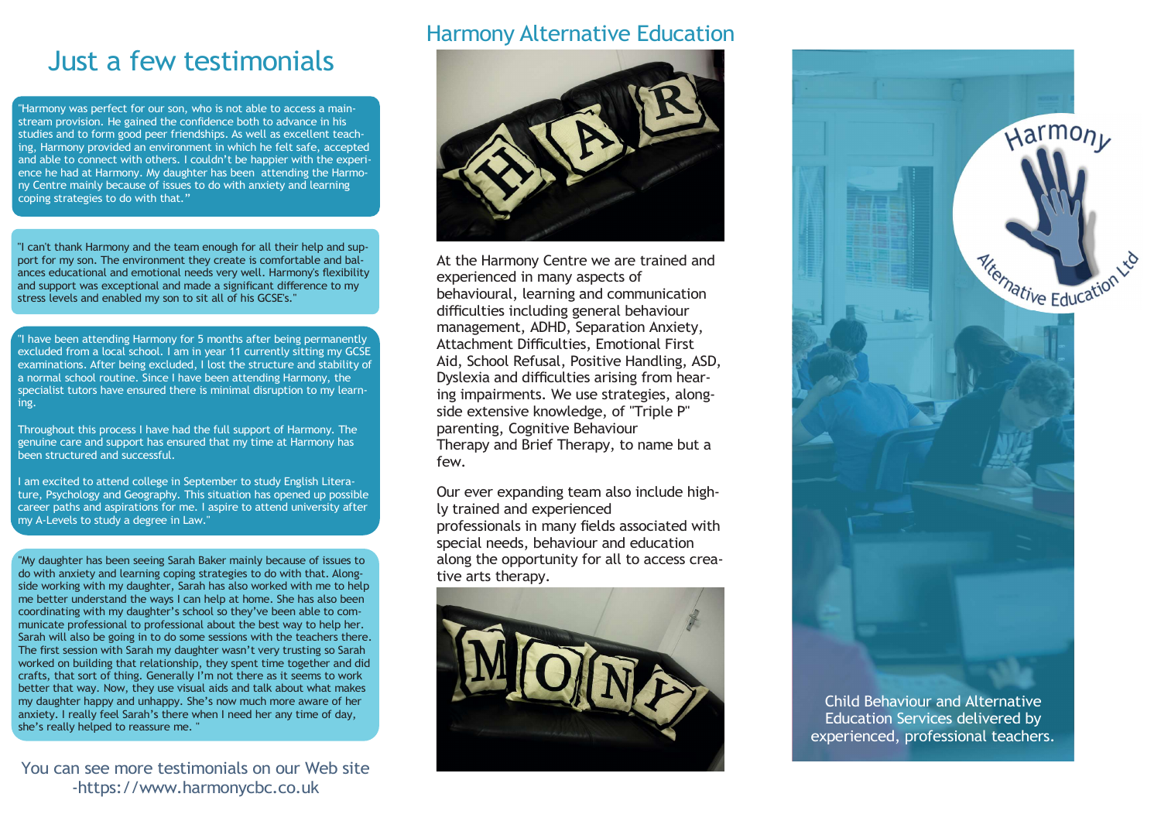# Just a few testimonials

"Harmony was perfect for our son, who is not able to access a mainstream provision. He gained the confidence both to advance in his studies and to form good peer friendships. As well as excellent teaching, Harmony provided an environment in which he felt safe, accepted and able to connect with others. I couldn't be happier with the experience he had at Harmony. My daughter has been attending the Harmony Centre mainly because of issues to do with anxiety and learning coping strategies to do with that."

"I can't thank Harmony and the team enough for all their help and support for my son. The environment they create is comfortable and balances educational and emotional needs very well. Harmony's flexibility and support was exceptional and made a significant difference to my stress levels and enabled my son to sit all of his GCSE's."

"I have been attending Harmony for 5 months after being permanently excluded from a local school. I am in year 11 currently sitting my GCSE<br>examinations, After being excluded. Llost the structure and stability of **Aid, School Refusal, Positive Handling, ASD,** examinations. After being excluded, I lost the structure and stability of a normal school routine. Since I have been attending Harmony, the specialist tutors have ensured there is minimal disruption to my learning.

Throughout this process I have had the full support of Harmony. The genuine care and support has ensured that my time at Harmony has been structured and successful.

I am excited to attend college in September to study English Literature, Psychology and Geography. This situation has opened up possible career paths and aspirations for me. I aspire to attend university after my A-Levels to study a degree in Law."

"My daughter has been seeing Sarah Baker mainly because of issues to do with anxiety and learning coping strategies to do with that. Alongside working with my daughter, Sarah has also worked with me to help me better understand the ways I can help at home. She has also been coordinating with my daughter's school so they've been able to communicate professional to professional about the best way to help her. Sarah will also be going in to do some sessions with the teachers there. The first session with Sarah my daughter wasn't very trusting so Sarah worked on building that relationship, they spent time together and did crafts, that sort of thing. Generally I'm not there as it seems to work better that way. Now, they use visual aids and talk about what makes my daughter happy and unhappy. She's now much more aware of her anxiety. I really feel Sarah's there when I need her any time of day, she's really helped to reassure me. "

You can see more testimonials on our Web site -https://www.harmonycbc.co.uk

## Harmony Alternative Education



At the Harmony Centre we are trained and experienced in many aspects of behavioural, learning and communication difficulties including general behaviour management, ADHD, Separation Anxiety, Attachment Difficulties, Emotional First Dyslexia and difficulties arising from hearing impairments. We use strategies, alongside extensive knowledge, of "Triple P" parenting, Cognitive Behaviour Therapy and Brief Therapy, to name but a few.

Our ever expanding team also include highly trained and experienced professionals in many fields associated with special needs, behaviour and education along the opportunity for all to access creative arts therapy.





Education Services delivered by experienced, professional teachers.